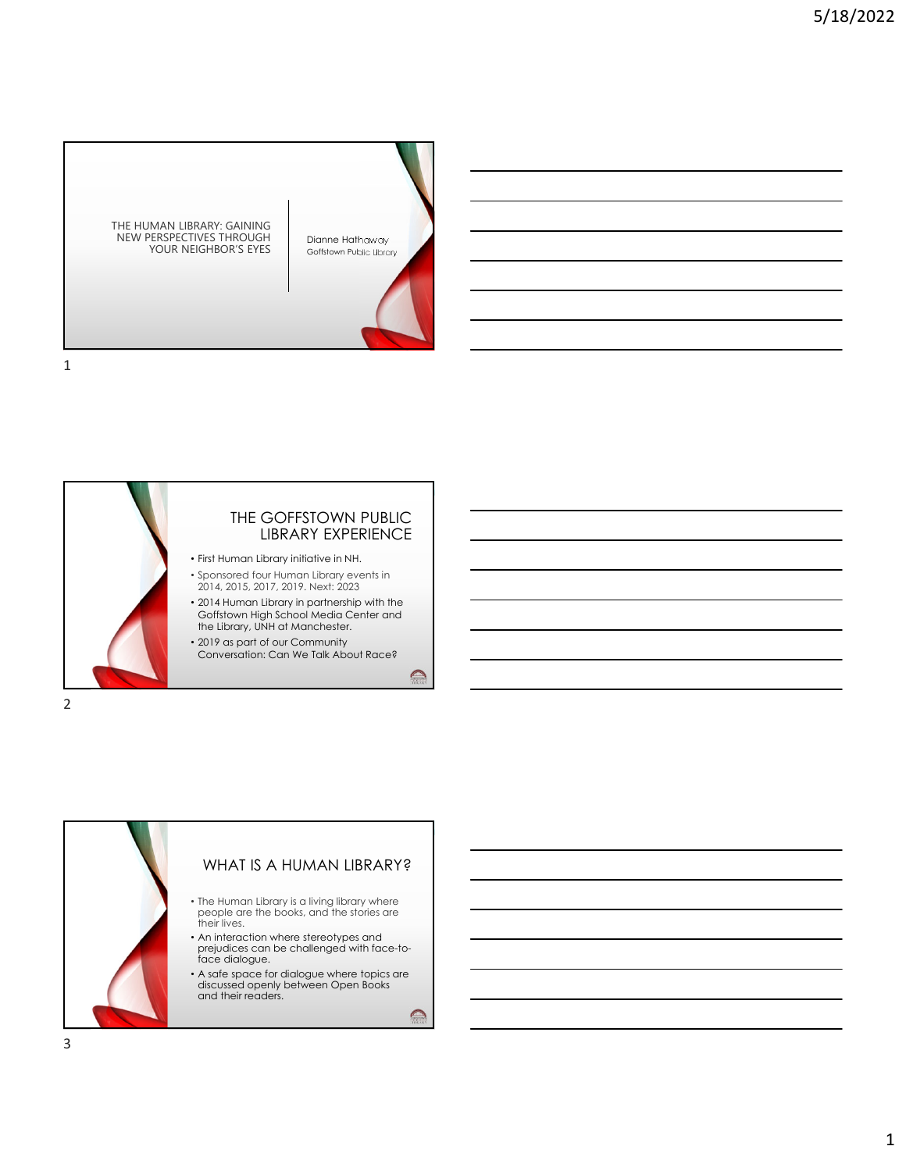THE HUMAN LIBRARY: GAINING NEW PERSPECTIVES THROUGH YOUR NEIGHBOR'S EYES







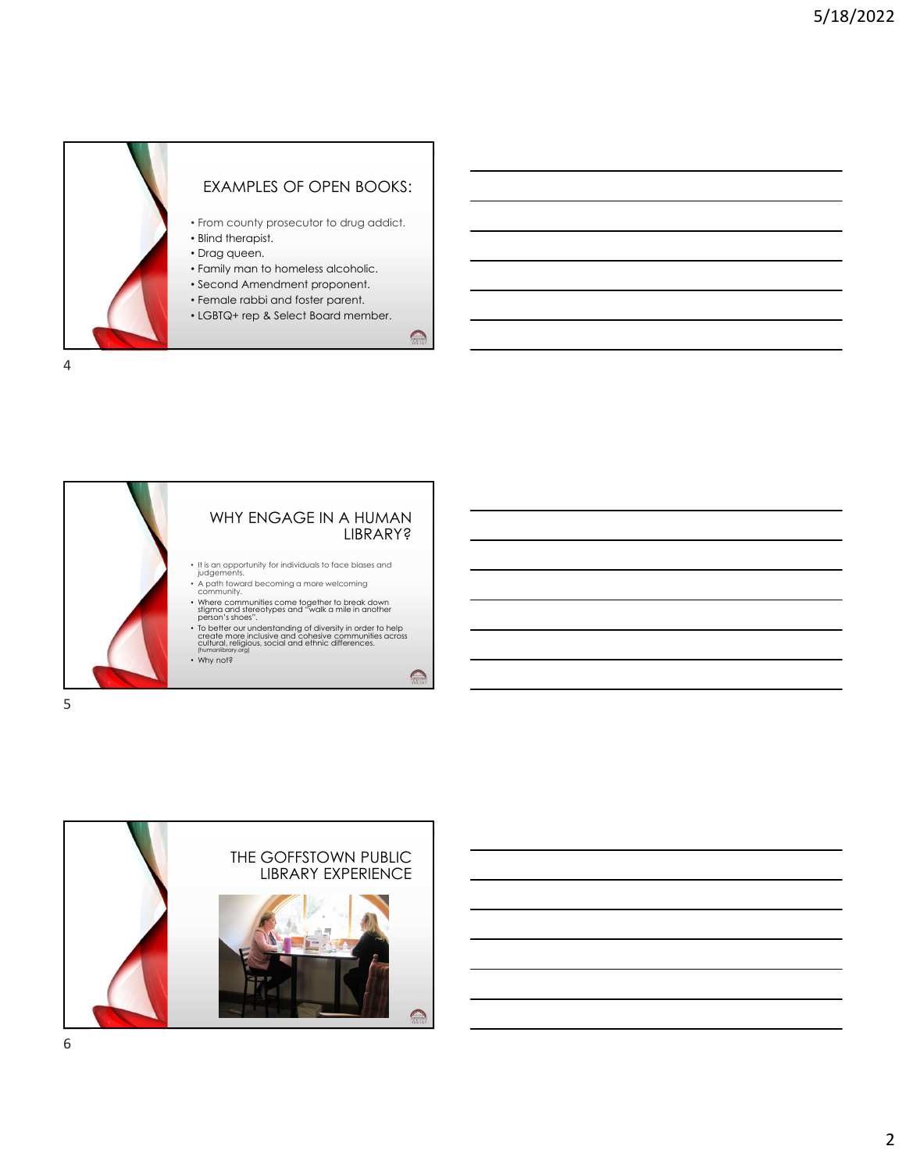



## WHY ENGAGE IN A HUMAN LIBRARY?

- It is an opportunity for individuals to face biases and judgements.
- 
- 
- To better our understanding of diversity in order to help create more inclusive and cohesive communities across cultural, religious, social and ethnic differences. (humanlibrary.org)

 $\bigcirc$ 

5

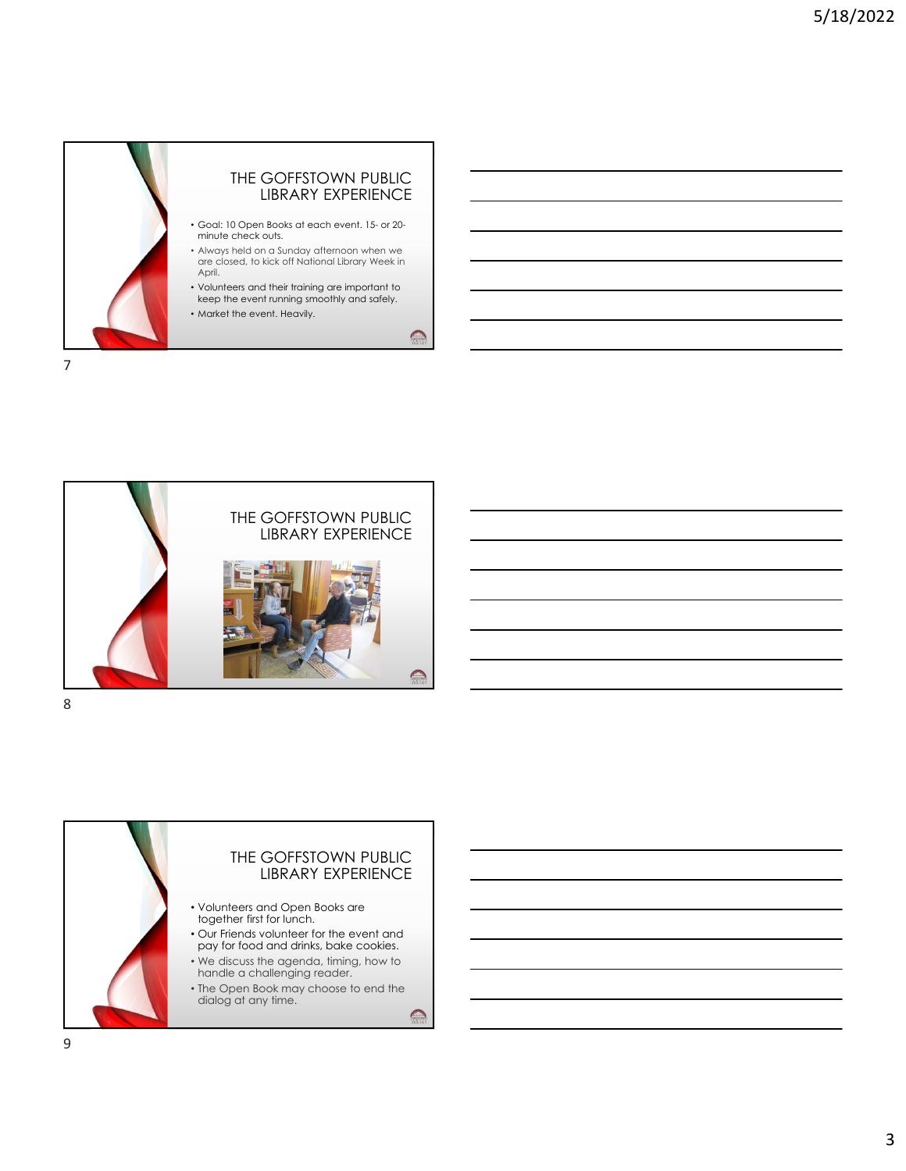



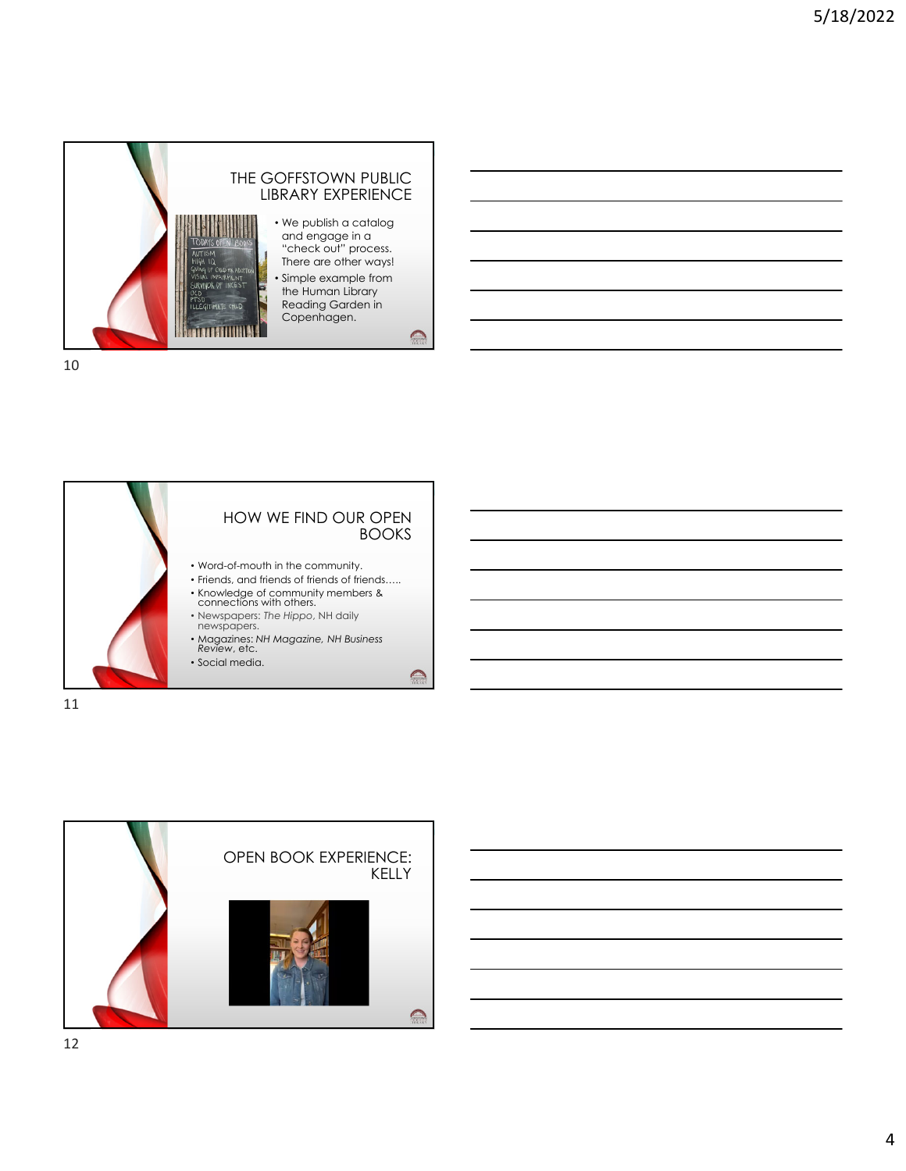



11

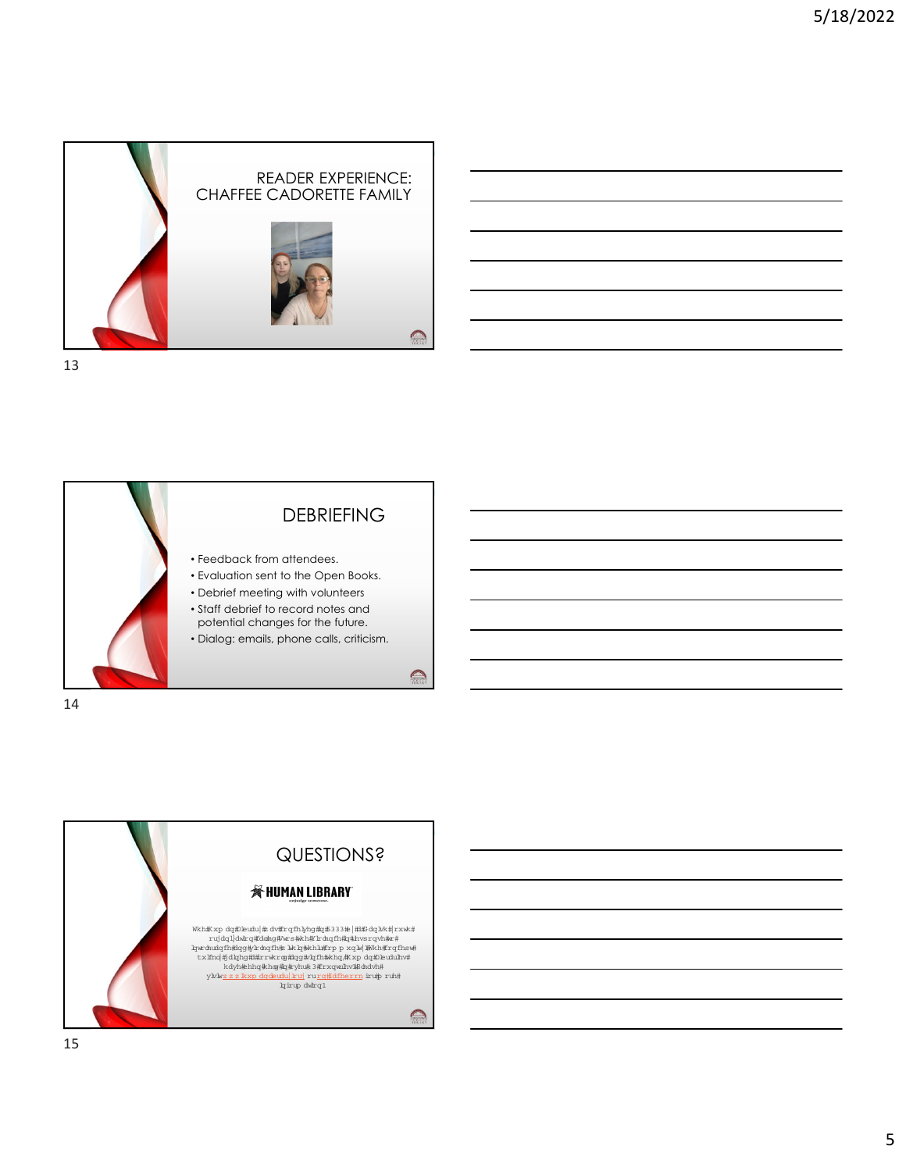